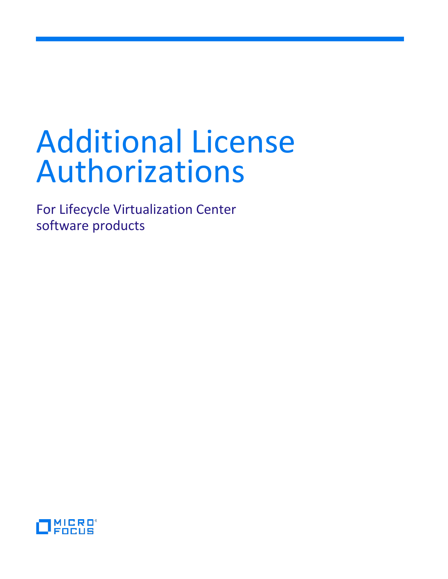# Additional License Authorizations

For Lifecycle Virtualization Center software products

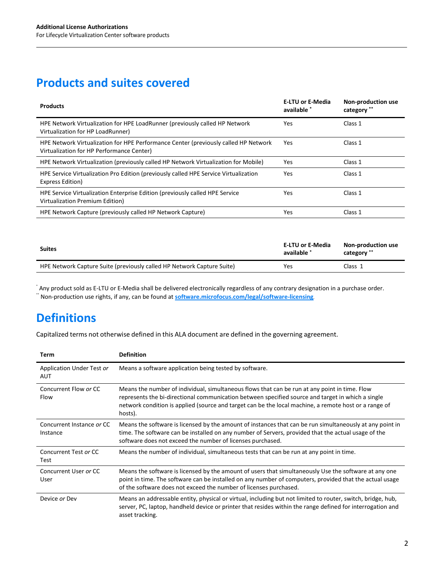## **Products and suites covered**

| <b>Products</b>                                                                                                                  | <b>E-LTU or E-Media</b><br>available * | Non-production use<br>category ** |
|----------------------------------------------------------------------------------------------------------------------------------|----------------------------------------|-----------------------------------|
| HPE Network Virtualization for HPE LoadRunner (previously called HP Network<br>Virtualization for HP LoadRunner)                 | Yes                                    | Class 1                           |
| HPE Network Virtualization for HPE Performance Center (previously called HP Network<br>Virtualization for HP Performance Center) | Yes                                    | Class 1                           |
| HPE Network Virtualization (previously called HP Network Virtualization for Mobile)                                              | Yes                                    | Class 1                           |
| HPE Service Virtualization Pro Edition (previously called HPE Service Virtualization<br>Express Edition)                         | Yes                                    | Class 1                           |
| HPE Service Virtualization Enterprise Edition (previously called HPE Service<br>Virtualization Premium Edition)                  | Yes                                    | Class 1                           |
| HPE Network Capture (previously called HP Network Capture)                                                                       | Yes                                    | Class 1                           |

| <b>Suites</b>                                                          | E-LTU or E-Media<br>available | <b>Non-production use</b><br>category ** |
|------------------------------------------------------------------------|-------------------------------|------------------------------------------|
| HPE Network Capture Suite (previously called HP Network Capture Suite) | Yes                           | Class 1                                  |

\* Any product sold as E-LTU or E-Media shall be delivered electronically regardless of any contrary designation in a purchase order. \*\* Non-production use rights, if any, can be found at **[software.microfocus.com/legal/software-licensing](https://software.microfocus.com/legal/software-licensing)**.

# **Definitions**

Capitalized terms not otherwise defined in this ALA document are defined in the governing agreement.

| Term                                  | <b>Definition</b>                                                                                                                                                                                                                                                                                                      |
|---------------------------------------|------------------------------------------------------------------------------------------------------------------------------------------------------------------------------------------------------------------------------------------------------------------------------------------------------------------------|
| Application Under Test or<br>AUT      | Means a software application being tested by software.                                                                                                                                                                                                                                                                 |
| Concurrent Flow or CC<br>Flow         | Means the number of individual, simultaneous flows that can be run at any point in time. Flow<br>represents the bi-directional communication between specified source and target in which a single<br>network condition is applied (source and target can be the local machine, a remote host or a range of<br>hosts). |
| Concurrent Instance or CC<br>Instance | Means the software is licensed by the amount of instances that can be run simultaneously at any point in<br>time. The software can be installed on any number of Servers, provided that the actual usage of the<br>software does not exceed the number of licenses purchased.                                          |
| Concurrent Test or CC<br>Test         | Means the number of individual, simultaneous tests that can be run at any point in time.                                                                                                                                                                                                                               |
| Concurrent User or CC<br>User         | Means the software is licensed by the amount of users that simultaneously Use the software at any one<br>point in time. The software can be installed on any number of computers, provided that the actual usage<br>of the software does not exceed the number of licenses purchased.                                  |
| Device or Dev                         | Means an addressable entity, physical or virtual, including but not limited to router, switch, bridge, hub,<br>server, PC, laptop, handheld device or printer that resides within the range defined for interrogation and<br>asset tracking.                                                                           |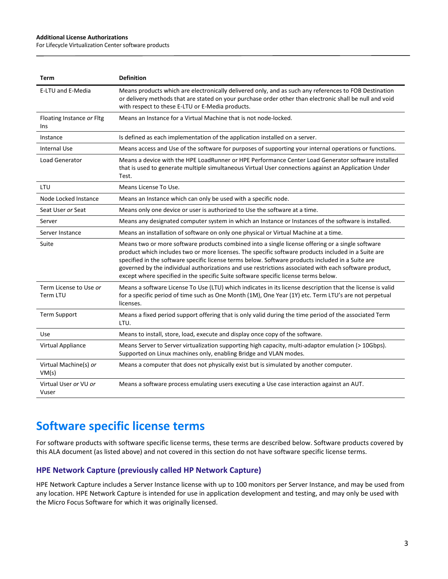#### **Additional License Authorizations**

For Lifecycle Virtualization Center software products

| <b>Term</b>                        | <b>Definition</b>                                                                                                                                                                                                                                                                                                                                                                                                                                                                                            |
|------------------------------------|--------------------------------------------------------------------------------------------------------------------------------------------------------------------------------------------------------------------------------------------------------------------------------------------------------------------------------------------------------------------------------------------------------------------------------------------------------------------------------------------------------------|
| E-LTU and E-Media                  | Means products which are electronically delivered only, and as such any references to FOB Destination<br>or delivery methods that are stated on your purchase order other than electronic shall be null and void<br>with respect to these E-LTU or E-Media products.                                                                                                                                                                                                                                         |
| Floating Instance or Fltg<br>Ins   | Means an Instance for a Virtual Machine that is not node-locked.                                                                                                                                                                                                                                                                                                                                                                                                                                             |
| Instance                           | Is defined as each implementation of the application installed on a server.                                                                                                                                                                                                                                                                                                                                                                                                                                  |
| <b>Internal Use</b>                | Means access and Use of the software for purposes of supporting your internal operations or functions.                                                                                                                                                                                                                                                                                                                                                                                                       |
| <b>Load Generator</b>              | Means a device with the HPE LoadRunner or HPE Performance Center Load Generator software installed<br>that is used to generate multiple simultaneous Virtual User connections against an Application Under<br>Test.                                                                                                                                                                                                                                                                                          |
| LTU                                | Means License To Use.                                                                                                                                                                                                                                                                                                                                                                                                                                                                                        |
| Node Locked Instance               | Means an Instance which can only be used with a specific node.                                                                                                                                                                                                                                                                                                                                                                                                                                               |
| Seat User or Seat                  | Means only one device or user is authorized to Use the software at a time.                                                                                                                                                                                                                                                                                                                                                                                                                                   |
| Server                             | Means any designated computer system in which an Instance or Instances of the software is installed.                                                                                                                                                                                                                                                                                                                                                                                                         |
| Server Instance                    | Means an installation of software on only one physical or Virtual Machine at a time.                                                                                                                                                                                                                                                                                                                                                                                                                         |
| Suite                              | Means two or more software products combined into a single license offering or a single software<br>product which includes two or more licenses. The specific software products included in a Suite are<br>specified in the software specific license terms below. Software products included in a Suite are<br>governed by the individual authorizations and use restrictions associated with each software product,<br>except where specified in the specific Suite software specific license terms below. |
| Term License to Use or<br>Term LTU | Means a software License To Use (LTU) which indicates in its license description that the license is valid<br>for a specific period of time such as One Month (1M), One Year (1Y) etc. Term LTU's are not perpetual<br>licenses.                                                                                                                                                                                                                                                                             |
| <b>Term Support</b>                | Means a fixed period support offering that is only valid during the time period of the associated Term<br>LTU.                                                                                                                                                                                                                                                                                                                                                                                               |
| <b>Use</b>                         | Means to install, store, load, execute and display once copy of the software.                                                                                                                                                                                                                                                                                                                                                                                                                                |
| Virtual Appliance                  | Means Server to Server virtualization supporting high capacity, multi-adaptor emulation (> 10Gbps).<br>Supported on Linux machines only, enabling Bridge and VLAN modes.                                                                                                                                                                                                                                                                                                                                     |
| Virtual Machine(s) or<br>VM(s)     | Means a computer that does not physically exist but is simulated by another computer.                                                                                                                                                                                                                                                                                                                                                                                                                        |
| Virtual User or VU or<br>Vuser     | Means a software process emulating users executing a Use case interaction against an AUT.                                                                                                                                                                                                                                                                                                                                                                                                                    |

## **Software specific license terms**

For software products with software specific license terms, these terms are described below. Software products covered by this ALA document (as listed above) and not covered in this section do not have software specific license terms.

#### **HPE Network Capture (previously called HP Network Capture)**

HPE Network Capture includes a Server Instance license with up to 100 monitors per Server Instance, and may be used from any location. HPE Network Capture is intended for use in application development and testing, and may only be used with the Micro Focus Software for which it was originally licensed.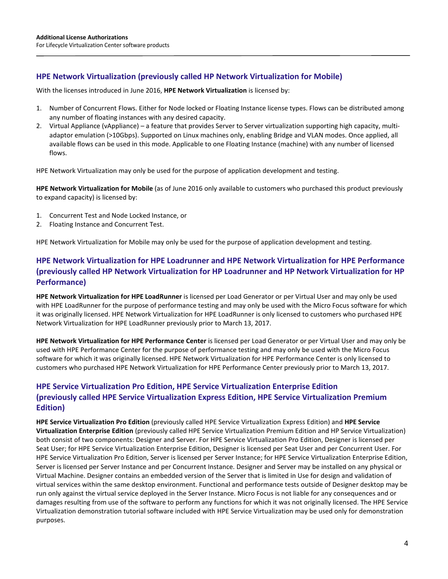#### **HPE Network Virtualization (previously called HP Network Virtualization for Mobile)**

With the licenses introduced in June 2016, **HPE Network Virtualization** is licensed by:

- 1. Number of Concurrent Flows. Either for Node locked or Floating Instance license types. Flows can be distributed among any number of floating instances with any desired capacity.
- 2. Virtual Appliance (vAppliance) a feature that provides Server to Server virtualization supporting high capacity, multiadaptor emulation (>10Gbps). Supported on Linux machines only, enabling Bridge and VLAN modes. Once applied, all available flows can be used in this mode. Applicable to one Floating Instance (machine) with any number of licensed flows.

HPE Network Virtualization may only be used for the purpose of application development and testing.

**HPE Network Virtualization for Mobile** (as of June 2016 only available to customers who purchased this product previously to expand capacity) is licensed by:

- 1. Concurrent Test and Node Locked Instance, or
- 2. Floating Instance and Concurrent Test.

HPE Network Virtualization for Mobile may only be used for the purpose of application development and testing.

#### **HPE Network Virtualization for HPE Loadrunner and HPE Network Virtualization for HPE Performance (previously called HP Network Virtualization for HP Loadrunner and HP Network Virtualization for HP Performance)**

**HPE Network Virtualization for HPE LoadRunner** is licensed per Load Generator or per Virtual User and may only be used with HPE LoadRunner for the purpose of performance testing and may only be used with the Micro Focus software for which it was originally licensed. HPE Network Virtualization for HPE LoadRunner is only licensed to customers who purchased HPE Network Virtualization for HPE LoadRunner previously prior to March 13, 2017.

**HPE Network Virtualization for HPE Performance Center** is licensed per Load Generator or per Virtual User and may only be used with HPE Performance Center for the purpose of performance testing and may only be used with the Micro Focus software for which it was originally licensed. HPE Network Virtualization for HPE Performance Center is only licensed to customers who purchased HPE Network Virtualization for HPE Performance Center previously prior to March 13, 2017.

#### **HPE Service Virtualization Pro Edition, HPE Service Virtualization Enterprise Edition (previously called HPE Service Virtualization Express Edition, HPE Service Virtualization Premium Edition)**

**HPE Service Virtualization Pro Edition** (previously called HPE Service Virtualization Express Edition) and **HPE Service Virtualization Enterprise Edition** (previously called HPE Service Virtualization Premium Edition and HP Service Virtualization) both consist of two components: Designer and Server. For HPE Service Virtualization Pro Edition, Designer is licensed per Seat User; for HPE Service Virtualization Enterprise Edition, Designer is licensed per Seat User and per Concurrent User. For HPE Service Virtualization Pro Edition, Server is licensed per Server Instance; for HPE Service Virtualization Enterprise Edition, Server is licensed per Server Instance and per Concurrent Instance. Designer and Server may be installed on any physical or Virtual Machine. Designer contains an embedded version of the Server that is limited in Use for design and validation of virtual services within the same desktop environment. Functional and performance tests outside of Designer desktop may be run only against the virtual service deployed in the Server Instance. Micro Focus is not liable for any consequences and or damages resulting from use of the software to perform any functions for which it was not originally licensed. The HPE Service Virtualization demonstration tutorial software included with HPE Service Virtualization may be used only for demonstration purposes.